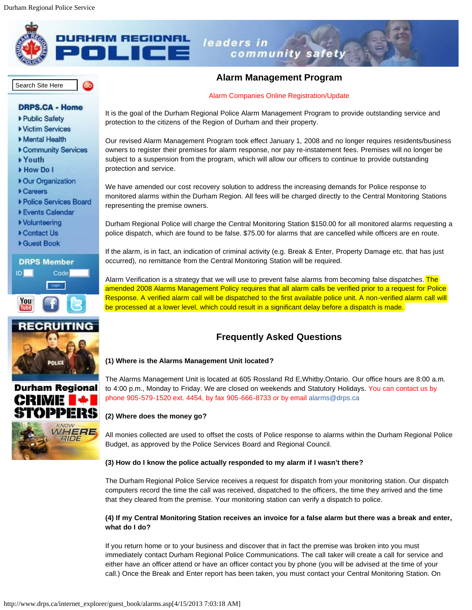

### **HAM REGIONAL** leaders in community safety



# **Alarm Management Program**

### [Alarm Companies Online Registration/Update](http://www.drps.ca/internet_explorer/guest_book/alarms_login.asp)

- 
- 
- 
- 
- 
- 
- 
- 
- 
- 
- 
- 
- 







It is the goal of the Durham Regional Police Alarm Management Program to provide outstanding service and protection to the citizens of the Region of Durham and their property.

Our revised Alarm Management Program took effect January 1, 2008 and no longer requires residents/business owners to register their premises for alarm response, nor pay re-instatement fees. Premises will no longer be subject to a suspension from the program, which will allow our officers to continue to provide outstanding protection and service.

We have amended our cost recovery solution to address the increasing demands for Police response to monitored alarms within the Durham Region. All fees will be charged directly to the Central Monitoring Stations representing the premise owners.

Durham Regional Police will charge the Central Monitoring Station \$150.00 for all monitored alarms requesting a police dispatch, which are found to be false. \$75.00 for alarms that are cancelled while officers are en route.

If the alarm, is in fact, an indication of criminal activity (e.g. Break & Enter, Property Damage etc. that has just occurred), no remittance from the Central Monitoring Station will be required.

Alarm Verification is a strategy that we will use to prevent false alarms from becoming false dispatches. The amended 2008 Alarms Management Policy requires that all alarm calls be verified prior to a request for Police Response. A verified alarm call will be dispatched to the first available police unit. A non-verified alarm call will be processed at a lower level, which could result in a significant delay before a dispatch is made.

## **Frequently Asked Questions**

#### **(1) Where is the Alarms Management Unit located?**

The Alarms Management Unit is located at 605 Rossland Rd E,Whitby,Ontario. Our office hours are 8:00 a.m. to 4:00 p.m., Monday to Friday. We are closed on weekends and Statutory Holidays. You can contact us by phone 905-579-1520 ext. 4454, by fax 905-666-8733 or by email [alarms@drps.ca](mailto:alarms@drps.ca)

#### **(2) Where does the money go?**

All monies collected are used to offset the costs of Police response to alarms within the Durham Regional Police Budget, as approved by the Police Services Board and Regional Council.

#### **(3) How do I know the police actually responded to my alarm if I wasn't there?**

The Durham Regional Police Service receives a request for dispatch from your monitoring station. Our dispatch computers record the time the call was received, dispatched to the officers, the time they arrived and the time that they cleared from the premise. Your monitoring station can verify a dispatch to police.

#### **(4) If my Central Monitoring Station receives an invoice for a false alarm but there was a break and enter, what do I do?**

If you return home or to your business and discover that in fact the premise was broken into you must immediately contact Durham Regional Police Communications. The call taker will create a call for service and either have an officer attend or have an officer contact you by phone (you will be advised at the time of your call.) Once the Break and Enter report has been taken, you must contact your Central Monitoring Station. On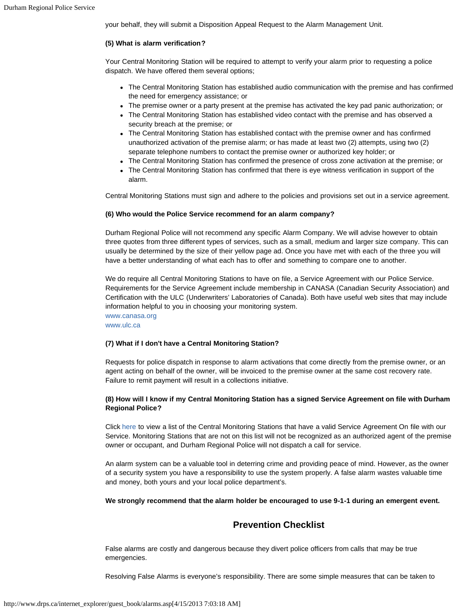your behalf, they will submit a Disposition Appeal Request to the Alarm Management Unit.

#### **(5) What is alarm verification?**

Your Central Monitoring Station will be required to attempt to verify your alarm prior to requesting a police dispatch. We have offered them several options;

- The Central Monitoring Station has established audio communication with the premise and has confirmed the need for emergency assistance; or
- The premise owner or a party present at the premise has activated the key pad panic authorization; or
- The Central Monitoring Station has established video contact with the premise and has observed a security breach at the premise; or
- The Central Monitoring Station has established contact with the premise owner and has confirmed unauthorized activation of the premise alarm; or has made at least two (2) attempts, using two (2) separate telephone numbers to contact the premise owner or authorized key holder; or
- The Central Monitoring Station has confirmed the presence of cross zone activation at the premise; or
- The Central Monitoring Station has confirmed that there is eye witness verification in support of the alarm.

Central Monitoring Stations must sign and adhere to the policies and provisions set out in a service agreement.

#### **(6) Who would the Police Service recommend for an alarm company?**

Durham Regional Police will not recommend any specific Alarm Company. We will advise however to obtain three quotes from three different types of services, such as a small, medium and larger size company. This can usually be determined by the size of their yellow page ad. Once you have met with each of the three you will have a better understanding of what each has to offer and something to compare one to another.

We do require all Central Monitoring Stations to have on file, a Service Agreement with our Police Service. Requirements for the Service Agreement include membership in CANASA (Canadian Security Association) and Certification with the ULC (Underwriters' Laboratories of Canada). Both have useful web sites that may include information helpful to you in choosing your monitoring system.

[www.canasa.org](http://www.canasa.org/) [www.ulc.ca](http://www.ulc.ca/)

#### **(7) What if I don't have a Central Monitoring Station?**

Requests for police dispatch in response to alarm activations that come directly from the premise owner, or an agent acting on behalf of the owner, will be invoiced to the premise owner at the same cost recovery rate. Failure to remit payment will result in a collections initiative.

#### **(8) How will I know if my Central Monitoring Station has a signed Service Agreement on file with Durham Regional Police?**

Click [here](javascript:void(window.open() to view a list of the Central Monitoring Stations that have a valid Service Agreement On file with our Service. Monitoring Stations that are not on this list will not be recognized as an authorized agent of the premise owner or occupant, and Durham Regional Police will not dispatch a call for service.

An alarm system can be a valuable tool in deterring crime and providing peace of mind. However, as the owner of a security system you have a responsibility to use the system properly. A false alarm wastes valuable time and money, both yours and your local police department's.

#### **We strongly recommend that the alarm holder be encouraged to use 9-1-1 during an emergent event.**

## **Prevention Checklist**

False alarms are costly and dangerous because they divert police officers from calls that may be true emergencies.

Resolving False Alarms is everyone's responsibility. There are some simple measures that can be taken to